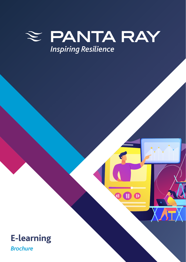

 $\overline{\mathbf{0}}$   $\overline{\mathbf{0}}$   $\overline{\mathbf{0}}$ 

# **E-learning**

*Brochure*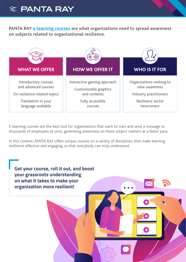

**PANTA RAY [e-learning courses](https://learning.pantaray.eu/?lang=en) are what organizations need to spread awareness on subjects related to organizational resilience.** 



E-learning courses are the best tool for organizations that want to train and send a message to thousands of employees at once, generating awareness on these subject matters at a faster pace.

In this context, PANTA RAY offers unique courses on a variety of disciplines, that make learning resilience effective and engaging, so that everybody can truly understand.

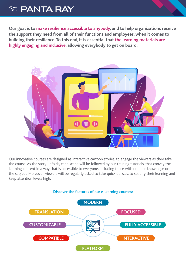## $\approx$  PANTA RAY

**Our goal is to make resilience accessible to anybody, and to help organizations receive the support they need from all of their functions and employees, when it comes to building their resilience. To this end, it is essential that the learning materials are highly engaging and inclusive, allowing everybody to get on board.**



Our innovative courses are designed as interactive cartoon stories, to engage the viewers as they take the course. As the story unfolds, each scene will be followed by our training tutorials, that convey the learning content in a way that is accessible to everyone, including those with no prior knowledge on the subject. Moreover, viewers will be regularly asked to take quick quizzes, to solidify their learning and keep attention levels high.

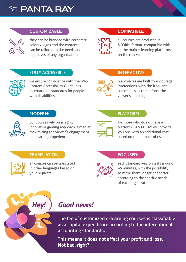



## **CUSTOMIZABLE:**

they can be branded with corporate colors / logos and the contents can be tailored to the needs and objectives of any organization.

## **COMPATIBLE:**

all courses are produced in SCORM format, compatible with all the main e-learning platforms on the market.

#### **FULLY ACCESSIBLE:**

we ensure compliance with the Web Content Accessibility Guidelines international standards for people with disabilities.

#### **INTERACTIVE:**

our courses are built to encourage interactions, with the frequent use of quizzes to reinforce the viewer's learning.

#### **MODERN:**

our courses rely on a highly innovative gaming approach, aimed at maximizing the viewer's engagement and learning experience.



for those who do not have a platform, PANTA RAY will provide you one with an additional cost based on the number of users.

#### **TRANSLATION:**



all courses can be translated in other languages based on your requests.

#### **FOCUSED:**

**PLATFORM:**



each standard version lasts around 45 minutes, with the possibility to make them longer or shorter according to the specific needs of each organization.



## *Hey! Good news!*

**The fee of customized e-learning courses is classifiable as a capital expenditure according to the international accounting standards.** 

**This means it does not affect your profit and loss. Not bad, right?**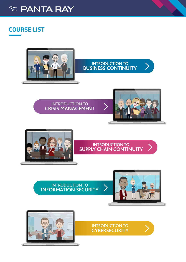<span id="page-4-0"></span>

## **COURSE LIST**



## INTRODUCTION TO **BUSINESS CONTINUITY**

### INTRODUCTION TO **CRISIS MANAGEMENT**



 $\sum_{i=1}^{n}$ 



## INTRODUCTION TO **SUPPLY CHAIN CONTINUITY**



INTRODUCTION TO **INFORMATION SECURITY**





INTRODUCTION TO **CYBERSECURITY**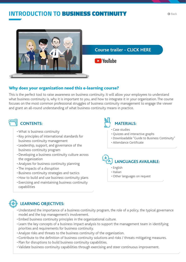## **INTRODUCTION TO BUSINESS CONTINUITY**



## Why does your organization need this e-learning course?

This is the perfect tool to raise awareness on business continuity. It will allow your employees to understand what business continuity is, why it is important to you, and how to integrate it in your organization. The course focuses on the most common professional struggles of business continuity management to engage the viewer and grant an all-round understanding of what business continuity means in practice.

## **CONTENTS:**

- What is business continuity
- Key principles of international standards for business continuity management
- Leadership, support, and governance of the business continuity program
- Developing a business continuity culture across the organization
- Analyses for business continuity planning
- The impacts of a disruption
- Business continuity strategies and tactics
- How to build and use business continuity plans
- Exercising and maintaining business continuity capabilities



- Case studies
- Quizzes and interactive graphs
- Downloadable "Guide to Business Continuity"
- Attendance Certificate

# **LANGUAGES AVAILABLE:**

- English
- Italian
- Other languages on request

- Understand the importance of a business continuity program, the role of a policy, the typical governance model and the top management's involvement.
- Embed business continuity principles in the organizational culture.
- Learn the key concepts of a business impact analysis to support the management team in identifying priorities and requirements for business continuity.
- Analyze risks and threats to the business continuity of the organization.
- Contribute to the definition of business continuity solutions and risks / threats mitigating measures.
- Plan for disruptions to build business continuity capabilities.
- Validate business continuity capabilities through exercising and steer continuous improvement.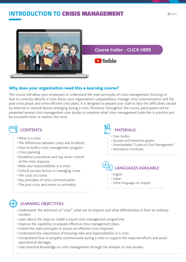## **INTRODUCTION TO CRISIS MANAGEMENT**



**Course trailer - CLICK HERE**

**D** YouTube

## Why does your organization need this e-learning course?

This course will allow your employees to understand the main principles of crisis management, focusing on how to correctly identify a crisis, boost your organization's preparedness, manage crisis communication and the post-crisis phase, and write efficient crisis plans. It is designed to prepare your staff to face the difficulties caused by external or internal factors emerging during a crisis. Moreover, throughout the course, participants will be presented several crisis management case studies to examine what crisis management looks like in practice and be successful when it matters the most.

## **CONTENTS:**

- What is a crisis
- The differences between crises and incidents
- How to build a crisis management program
- Crisis planning
- Escalation procedures and top-down control of the crisis response
- Roles and responsibilities in a crisis
- Critical success factors in managing crises
- The costs of a crisis
- Key principles of crisis communication
- The post-crisis and return to normality

# **MATERIALS:**

- Case studies
- Quizzes and interactive graphs
- Downloadable "Guide to Crisis Management"
- Attendance Certificate

# **LANGUAGES AVAILABLE:**

- English
- Italian
- Other languages on request



- Understand the definition of "crisis", what are its impacts and what differentiates it from an ordinary incident.
- Learn about the steps to create a sound crisis management programme.
- Improve the capability to prepare effective crisis management plans.
- Embed the main principles to ensure an effective crisis response.
- Understand the importance of knowing roles and responsibilities in a crisis.
- Comprehend how to properly communicate during a crisis to support the response efforts and avoid reputational damages.
- Gain practical knowledge on crisis management through the analysis of case studies.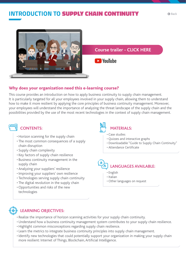## **INTRODUCTION TO SUPPLY CHAIN CONTINUIT**

**Course trailer - CLICK HERE**

**D** YouTube

## Why does your organization need this e-learning course?

This course provides an introduction on how to apply business continuity to supply chain management. It is particularly targeted for all your employees involved in your supply chain, allowing them to understand how to make it more resilient by applying the core principles of business continuity management. Moreover, your employees will understand the importance of analyzing the threat landscape of the supply chain and the possibilities provided by the use of the most recent technologies in the context of supply chain management.

## **CONTENTS:**

- Horizon scanning for the supply chain
- The most common consequences of a supply chain disruption
- Supply chain complexity
- Key factors of supply chain resilience
- Business continuity management in the supply chain
- Analyzing your suppliers' resilience
- Improving your suppliers' own resilience
- Technologies serving supply chain continuity
- The digital revolution in the supply chain
- Opportunities and risks of the new technologies

# **MATERIALS:**

- Case studies
- Quizzes and interactive graphs
- Downloadable "Guide to Supply Chain Continuity"
- Attendance Certificate

# **LANGUAGES AVAILABLE:**

- English
- Italian
- Other languages on request

- Realize the importance of horizon scanning activities for your supply chain continuity.
- Understand how a business continuity management system contributes to your supply chain resilience.
- Highlight common misconceptions regarding supply chain resilience.
- Learn the metrics to integrate business continuity principles into supply chain management.
- Identify new technologies that could potentially support your organization in making your supply chain more resilient: Internet of Things, Blockchain, Artificial Intelligence.

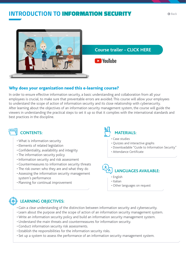## **INTRODUCTION TO** INFORMATION SECURITY



### **Course trailer - CLICK HERE**

**B**YouTube

## Why does your organization need this e-learning course?

In order to ensure effective information security, a basic understanding and collaboration from all your employees is crucial, to make sure that preventable errors are avoided. This course will allow your employees to understand the scope of action of information security and its close relationship with cybersecurity. After learning about the objectives of an information security management system, the course will guide the viewers in understanding the practical steps to set it up so that it complies with the international standards and best practices in the discipline.

## **CONTENTS:**

- What is information security
- Elements of related legislation
- Confidentiality, availability and integrity
- The information security policy
- Information security and risk assessment
- Countermeasures to information security threats
- The risk owner: who they are and what they do
- Assessing the information security management system's performance
- Planning for continual improvement

# **MATERIALS:**

- Case studies
- Quizzes and interactive graphs
- Downloadable "Guide to Information Security"
- Attendance Certificate

# **LANGUAGES AVAILABLE:**

- English
- Italian
- Other languages on request

- Gain a clear understanding of the distinction between information security and cybersecurity.
- Learn about the purpose and the scope of action of an information security management system.
- Write an information security policy and build an information security management system.
- Understand the main threats and countermeasures for information security.
- Conduct information security risk assessments.
- Establish the responsibilities for the information security risks.
- Set up a system to assess the performance of an information security management system.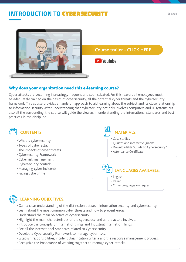## **INTRODUCTION TO CYBERSECURIT**



## Why does your organization need this e-learning course?

Cyber attacks are becoming increasingly frequent and sophisticated. For this reason, all employees must be adequately trained on the basics of cybersecurity, all the potential cyber threats and the cybersecurity framework. This course provides a hands-on approach to aid learning about the subject and its close relationship to information security. After understanding that cybersecurity not only involves computers and IT systems but also all the surrounding, the course will guide the viewers in understanding the international standards and best practices in the discipline.

## **CONTENTS:**

- What is cybersecurity
- Types of cyber attac
- The impacts of cyber threats
- Cybersecurity Framework
- Cyber risk management
- Cybersecurity controls
- Managing cyber incidents
- Facing cybercrime

# **MATERIALS:**

- Case studies
- Quizzes and interactive graphs
- Downloadable "Guide to Cybersecurity"
- Attendance Certificate

# **LANGUAGES AVAILABLE:**

- English
- Italian
- Other languages on request

## **LEARNING OBJECTIVES:**

• Gain a clear understanding of the distinction between information security and cybersecurity.

- Learn about the most common cyber threats and how to prevent errors.
- Understand the main objective of cybersecurity.
- Highlight the main characteristics of the cyberspace and all the actors involved.
- Introduce the concepts of Internet of things and Industrial Internet of Things.
- See all the International Standards related to Cybersecurity
- Develop a Cybersecurity Framework to manage cyber risks.
- Establish responsibilities, incident classification criteria and the response management process.
- Recognize the importance of working together to manage cyber-attacks.